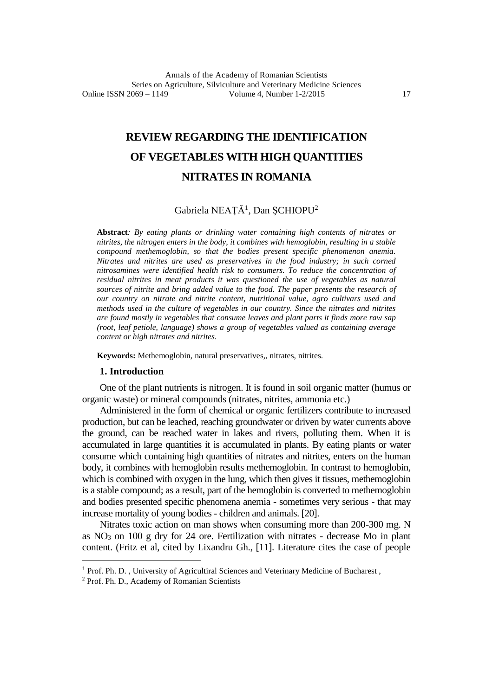# **REVIEW REGARDING THE IDENTIFICATION OF VEGETABLES WITH HIGH QUANTITIES NITRATES IN ROMANIA**

# Gabriela NEAȚĂ<sup>1</sup>, Dan ȘCHIOPU<sup>2</sup>

**Abstract***: By eating plants or drinking water containing high contents of nitrates or nitrites, the nitrogen enters in the body, it combines with hemoglobin, resulting in a stable compound methemoglobin, so that the bodies present specific phenomenon anemia. Nitrates and nitrites are used as preservatives in the food industry; in such corned nitrosamines were identified health risk to consumers. To reduce the concentration of residual nitrites in meat products it was questioned the use of vegetables as natural sources of nitrite and bring added value to the food. The paper presents the research of our country on nitrate and nitrite content, nutritional value, agro cultivars used and methods used in the culture of vegetables in our country. Since the nitrates and nitrites are found mostly in vegetables that consume leaves and plant parts it finds more raw sap (root, leaf petiole, language) shows a group of vegetables valued as containing average content or high nitrates and nitrites.*

**Keywords:** Methemoglobin, natural preservatives,, nitrates, nitrites.

#### **1. Introduction**

One of the plant nutrients is nitrogen. It is found in soil organic matter (humus or organic waste) or mineral compounds (nitrates, nitrites, ammonia etc.)

Administered in the form of chemical or organic fertilizers contribute to increased production, but can be leached, reaching groundwater or driven by water currents above the ground, can be reached water in lakes and rivers, polluting them. When it is accumulated in large quantities it is accumulated in plants. By eating plants or water consume which containing high quantities of nitrates and nitrites, enters on the human body, it combines with hemoglobin results methemoglobin. In contrast to hemoglobin, which is combined with oxygen in the lung, which then gives it tissues, methemoglobin is a stable compound; as a result, part of the hemoglobin is converted to methemoglobin and bodies presented specific phenomena anemia - sometimes very serious - that may increase mortality of young bodies - children and animals. [20].

Nitrates toxic action on man shows when consuming more than 200-300 mg. N as  $NO<sub>3</sub>$  on 100 g dry for 24 ore. Fertilization with nitrates - decrease Mo in plant content. (Fritz et al, cited by Lixandru Gh., [11]. Literature cites the case of people

 $\overline{a}$ 

<sup>&</sup>lt;sup>1</sup> Prof. Ph. D., University of Agricultiral Sciences and Veterinary Medicine of Bucharest,

<sup>2</sup> Prof. Ph. D., Academy of Romanian Scientists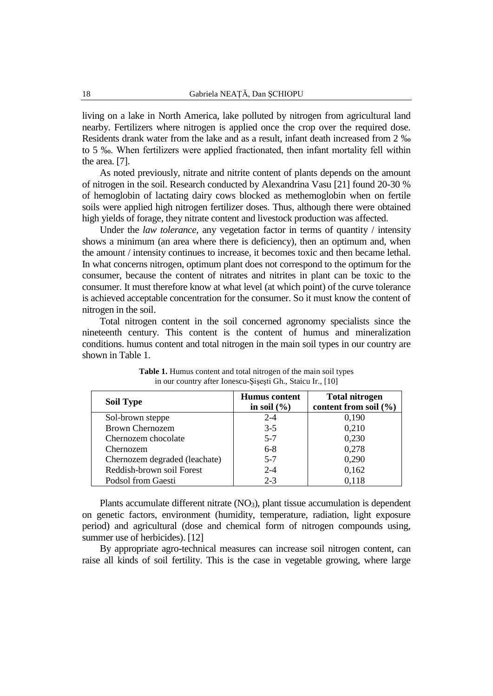living on a lake in North America, lake polluted by nitrogen from agricultural land nearby. Fertilizers where nitrogen is applied once the crop over the required dose. Residents drank water from the lake and as a result, infant death increased from 2 ‰ to 5 ‰. When fertilizers were applied fractionated, then infant mortality fell within the area. [7].

As noted previously, nitrate and nitrite content of plants depends on the amount of nitrogen in the soil. Research conducted by Alexandrina Vasu [21] found 20-30 % of hemoglobin of lactating dairy cows blocked as methemoglobin when on fertile soils were applied high nitrogen fertilizer doses. Thus, although there were obtained high yields of forage, they nitrate content and livestock production was affected.

Under the *law tolerance*, any vegetation factor in terms of quantity / intensity shows a minimum (an area where there is deficiency), then an optimum and, when the amount / intensity continues to increase, it becomes toxic and then became lethal. In what concerns nitrogen, optimum plant does not correspond to the optimum for the consumer, because the content of nitrates and nitrites in plant can be toxic to the consumer. It must therefore know at what level (at which point) of the curve tolerance is achieved acceptable concentration for the consumer. So it must know the content of nitrogen in the soil.

Total nitrogen content in the soil concerned agronomy specialists since the nineteenth century. This content is the content of humus and mineralization conditions. humus content and total nitrogen in the main soil types in our country are shown in Table 1.

| <b>Soil Type</b>              | <b>Humus</b> content<br>in soil $(\% )$ | <b>Total nitrogen</b><br>content from soil (%) |
|-------------------------------|-----------------------------------------|------------------------------------------------|
| Sol-brown steppe              | $2 - 4$                                 | 0,190                                          |
| <b>Brown Chernozem</b>        | $3-5$                                   | 0,210                                          |
| Chernozem chocolate           | $5 - 7$                                 | 0,230                                          |
| Chernozem                     | $6-8$                                   | 0,278                                          |
| Chernozem degraded (leachate) | $5 - 7$                                 | 0,290                                          |
| Reddish-brown soil Forest     | $2 - 4$                                 | 0,162                                          |
| Podsol from Gaesti            | $2 - 3$                                 | 0,118                                          |

**Table 1.** Humus content and total nitrogen of the main soil types in our country after Ionescu-Şişeşti Gh., Staicu Ir., [10]

Plants accumulate different nitrate (NO3), plant tissue accumulation is dependent on genetic factors, environment (humidity, temperature, radiation, light exposure period) and agricultural (dose and chemical form of nitrogen compounds using, summer use of herbicides). [12]

By appropriate agro-technical measures can increase soil nitrogen content, can raise all kinds of soil fertility. This is the case in vegetable growing, where large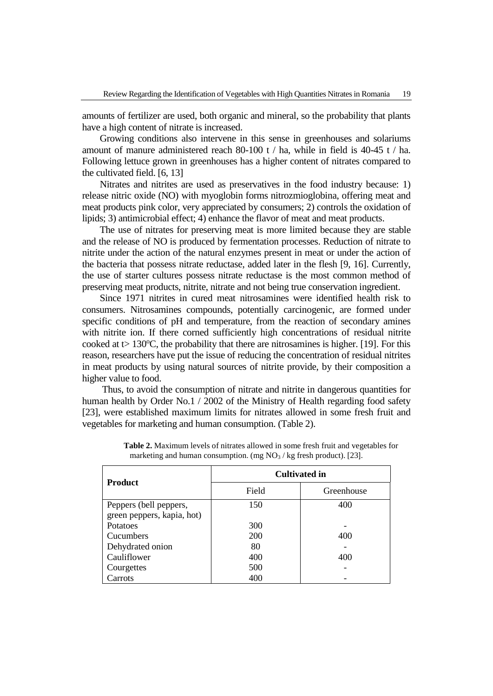amounts of fertilizer are used, both organic and mineral, so the probability that plants have a high content of nitrate is increased.

Growing conditions also intervene in this sense in greenhouses and solariums amount of manure administered reach 80-100 t / ha, while in field is 40-45 t / ha. Following lettuce grown in greenhouses has a higher content of nitrates compared to the cultivated field. [6, 13]

Nitrates and nitrites are used as preservatives in the food industry because: 1) release nitric oxide (NO) with myoglobin forms nitrozmioglobina, offering meat and meat products pink color, very appreciated by consumers; 2) controls the oxidation of lipids; 3) antimicrobial effect; 4) enhance the flavor of meat and meat products.

The use of nitrates for preserving meat is more limited because they are stable and the release of NO is produced by fermentation processes. Reduction of nitrate to nitrite under the action of the natural enzymes present in meat or under the action of the bacteria that possess nitrate reductase, added later in the flesh [9, 16]. Currently, the use of starter cultures possess nitrate reductase is the most common method of preserving meat products, nitrite, nitrate and not being true conservation ingredient.

Since 1971 nitrites in cured meat nitrosamines were identified health risk to consumers. Nitrosamines compounds, potentially carcinogenic, are formed under specific conditions of pH and temperature, from the reaction of secondary amines with nitrite ion. If there corned sufficiently high concentrations of residual nitrite cooked at  $t > 130^{\circ}$ C, the probability that there are nitrosamines is higher. [19]. For this reason, researchers have put the issue of reducing the concentration of residual nitrites in meat products by using natural sources of nitrite provide, by their composition a higher value to food.

Thus, to avoid the consumption of nitrate and nitrite in dangerous quantities for human health by Order No.1 / 2002 of the Ministry of Health regarding food safety [23], were established maximum limits for nitrates allowed in some fresh fruit and vegetables for marketing and human consumption. (Table 2).

|                            | <b>Cultivated in</b> |            |  |  |
|----------------------------|----------------------|------------|--|--|
| <b>Product</b>             | Field                | Greenhouse |  |  |
| Peppers (bell peppers,     | 150                  | 400        |  |  |
| green peppers, kapia, hot) |                      |            |  |  |
| Potatoes                   | 300                  |            |  |  |
| Cucumbers                  | <b>200</b>           | 400        |  |  |
| Dehydrated onion           | 80                   |            |  |  |
| Cauliflower                | 400                  | 400        |  |  |
| Courgettes                 | 500                  |            |  |  |
| Carrots                    | 400                  |            |  |  |

**Table 2.** Maximum levels of nitrates allowed in some fresh fruit and vegetables for marketing and human consumption. (mg  $NO<sub>3</sub> / kg$  fresh product). [23].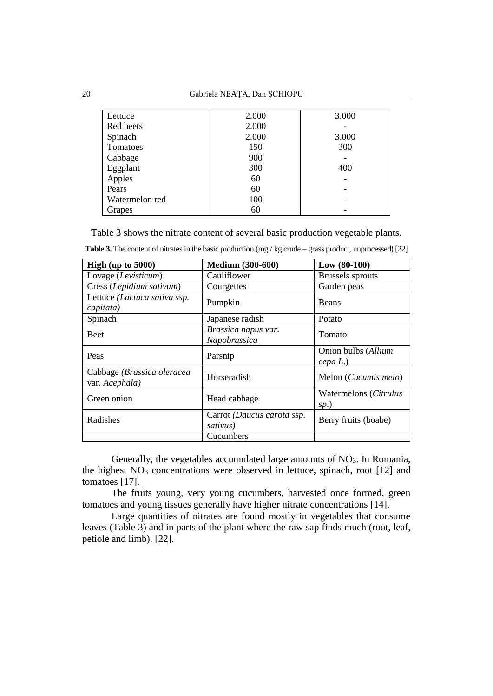| Lettuce        | 2.000 | 3.000 |
|----------------|-------|-------|
| Red beets      | 2.000 |       |
| Spinach        | 2.000 | 3.000 |
| Tomatoes       | 150   | 300   |
| Cabbage        | 900   |       |
| Eggplant       | 300   | 400   |
| Apples         | 60    |       |
| Pears          | 60    |       |
| Watermelon red | 100   |       |
| Grapes         | 60    |       |

Table 3 shows the nitrate content of several basic production vegetable plants.

| High (up to $5000$ )                         | <b>Medium (300-600)</b>                | $Low (80-100)$                  |  |
|----------------------------------------------|----------------------------------------|---------------------------------|--|
| Lovage (Levisticum)                          | Cauliflower                            | <b>Brussels</b> sprouts         |  |
| Cress (Lepidium sativum)                     | Courgettes                             | Garden peas                     |  |
| Lettuce (Lactuca sativa ssp.<br>capitata)    | Pumpkin                                | <b>Beans</b>                    |  |
| Spinach                                      | Japanese radish                        | Potato                          |  |
| <b>Beet</b>                                  | Brassica napus var.<br>Napobrassica    | Tomato                          |  |
| Peas                                         | Parsnip                                | Onion bulbs (Allium<br>cepa L.) |  |
| Cabbage (Brassica oleracea<br>var. Acephala) | Horseradish                            | Melon ( <i>Cucumis melo</i> )   |  |
| Green onion                                  | Head cabbage                           | Watermelons (Citrulus<br>sp.)   |  |
| Radishes                                     | Carrot (Daucus carota ssp.<br>sativus) | Berry fruits (boabe)            |  |
|                                              | Cucumbers                              |                                 |  |

**Table 3.** The content of nitrates in the basic production (mg / kg crude – grass product, unprocessed) [22]

Generally, the vegetables accumulated large amounts of  $NO<sub>3</sub>$ . In Romania, the highest  $NO<sub>3</sub>$  concentrations were observed in lettuce, spinach, root [12] and tomatoes [17].

The fruits young, very young cucumbers, harvested once formed, green tomatoes and young tissues generally have higher nitrate concentrations [14].

Large quantities of nitrates are found mostly in vegetables that consume leaves (Table 3) and in parts of the plant where the raw sap finds much (root, leaf, petiole and limb). [22].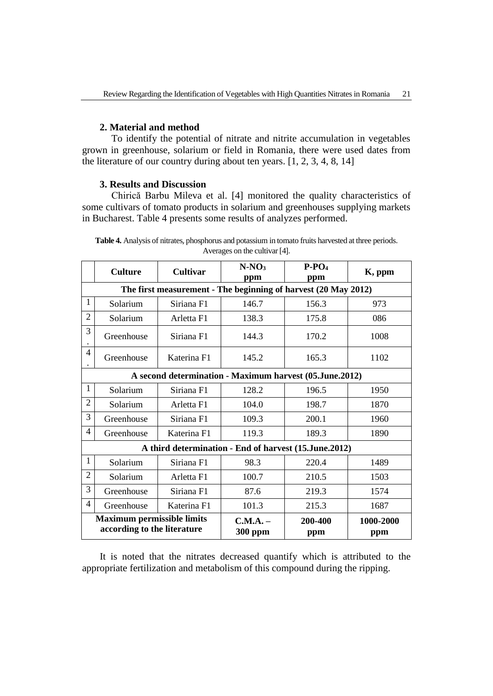## **2. Material and method**

To identify the potential of nitrate and nitrite accumulation in vegetables grown in greenhouse, solarium or field in Romania, there were used dates from the literature of our country during about ten years. [1, 2, 3, 4, 8, 14]

#### **3. Results and Discussion**

Chirică Barbu Mileva et al. [4] monitored the quality characteristics of some cultivars of tomato products in solarium and greenhouses supplying markets in Bucharest. Table 4 presents some results of analyzes performed.

|                                                                  | <b>Culture</b>                                          | <b>Cultivar</b>            | $N-NO3$<br>ppm                                                 | $P-PO4$<br>ppm   | K, ppm |  |  |  |
|------------------------------------------------------------------|---------------------------------------------------------|----------------------------|----------------------------------------------------------------|------------------|--------|--|--|--|
|                                                                  |                                                         |                            | The first measurement - The beginning of harvest (20 May 2012) |                  |        |  |  |  |
| 1                                                                | Solarium                                                | Siriana F1                 | 146.7                                                          | 156.3            | 973    |  |  |  |
| $\overline{2}$                                                   | Solarium                                                | Arletta F1                 | 138.3                                                          | 175.8            | 086    |  |  |  |
| 3                                                                | Greenhouse                                              | Siriana F1                 | 144.3                                                          | 170.2            | 1008   |  |  |  |
| 4                                                                | Greenhouse                                              | Katerina F1                | 145.2                                                          | 165.3            | 1102   |  |  |  |
|                                                                  | A second determination - Maximum harvest (05.June.2012) |                            |                                                                |                  |        |  |  |  |
| 1                                                                | Solarium                                                | Siriana F1                 | 128.2                                                          | 196.5            | 1950   |  |  |  |
| $\overline{2}$                                                   | Solarium                                                | Arletta F1                 | 104.0                                                          | 198.7            | 1870   |  |  |  |
| 3                                                                | Greenhouse                                              | Siriana F1                 | 109.3                                                          | 200.1            | 1960   |  |  |  |
| 4                                                                | Greenhouse                                              | Katerina F1                | 119.3                                                          | 189.3            | 1890   |  |  |  |
|                                                                  |                                                         |                            | A third determination - End of harvest (15. June. 2012)        |                  |        |  |  |  |
| 1                                                                | Solarium                                                | Siriana <sub>F1</sub>      | 98.3                                                           | 220.4            | 1489   |  |  |  |
| $\overline{2}$                                                   | Solarium                                                | Arletta F1                 | 100.7                                                          | 210.5            | 1503   |  |  |  |
| 3                                                                | Greenhouse                                              | Siriana F1                 | 87.6                                                           | 219.3            | 1574   |  |  |  |
| 4                                                                | Greenhouse                                              | Katerina F1                | 101.3                                                          | 215.3            | 1687   |  |  |  |
| <b>Maximum permissible limits</b><br>according to the literature |                                                         | C.M.A. –<br><b>300 ppm</b> | 200-400<br>ppm                                                 | 1000-2000<br>ppm |        |  |  |  |

**Table 4.** Analysis of nitrates, phosphorus and potassium in tomato fruits harvested at three periods. Averages on the cultivar [4].

It is noted that the nitrates decreased quantify which is attributed to the appropriate fertilization and metabolism of this compound during the ripping.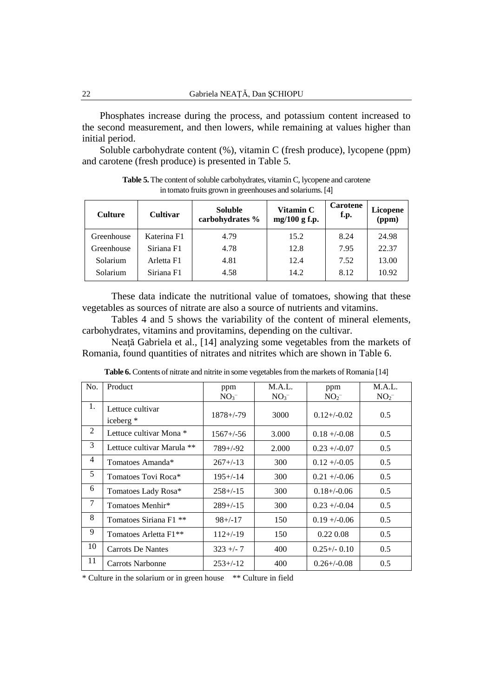Phosphates increase during the process, and potassium content increased to the second measurement, and then lowers, while remaining at values higher than initial period.

Soluble carbohydrate content (%), vitamin C (fresh produce), lycopene (ppm) and carotene (fresh produce) is presented in Table 5.

| <b>Culture</b> | <b>Cultivar</b> | <b>Soluble</b><br>carbohydrates % | Vitamin C<br>mg/100 g f.p. | <b>Carotene</b><br>f.p. | Licopene<br>(ppm) |
|----------------|-----------------|-----------------------------------|----------------------------|-------------------------|-------------------|
| Greenhouse     | Katerina F1     | 4.79                              | 15.2                       | 8.24                    | 24.98             |
| Greenhouse     | Siriana F1      | 4.78                              | 12.8                       | 7.95                    | 22.37             |
| Solarium       | Arletta F1      | 4.81                              | 12.4                       | 7.52                    | 13.00             |
| Solarium       | Siriana F1      | 4.58                              | 14.2                       | 8.12                    | 10.92             |

Table 5. The content of soluble carbohydrates, vitamin C, lycopene and carotene in tomato fruits grown in greenhouses and solariums. [4]

These data indicate the nutritional value of tomatoes, showing that these vegetables as sources of nitrate are also a source of nutrients and vitamins.

Tables 4 and 5 shows the variability of the content of mineral elements, carbohydrates, vitamins and provitamins, depending on the cultivar.

Neaţă Gabriela et al., [14] analyzing some vegetables from the markets of Romania, found quantities of nitrates and nitrites which are shown in Table 6.

| No. | Product                           | ppm<br>NO <sub>3</sub> | M.A.L.<br>NO <sub>3</sub> | ppm<br>NO <sub>2</sub> | M.A.L.<br>NO <sub>2</sub> |
|-----|-----------------------------------|------------------------|---------------------------|------------------------|---------------------------|
| 1.  | Lettuce cultivar<br>iceberg *     | $1878 + (-79)$         | 3000                      | $0.12 + (-0.02)$       | 0.5                       |
| 2   | Lettuce cultivar Mona *           | $1567 + (-56)$         | 3.000                     | $0.18 + (-0.08)$       | 0.5                       |
| 3   | Lettuce cultivar Marula **        | $789 + (-92)$          | 2.000                     | $0.23 + (-0.07)$       | 0.5                       |
| 4   | Tomatoes Amanda*                  | $267+/-13$             | 300                       | $0.12 + (-0.05)$       | 0.5                       |
| 5   | Tomatoes Tovi Roca*               | $195 + (-14)$          | 300                       | $0.21 + (-0.06$        | 0.5                       |
| 6   | Tomatoes Lady Rosa*               | $258 + (-15)$          | 300                       | $0.18 + (-0.06)$       | 0.5                       |
| 7   | Tomatoes Menhir*                  | $289+/-15$             | 300                       | $0.23 + (-0.04)$       | $0.5^{\circ}$             |
| 8   | Tomatoes Siriana F1 <sup>**</sup> | $98 + (-17)$           | 150                       | $0.19 + -0.06$         | 0.5                       |
| 9   | Tomatoes Arletta F1 <sup>**</sup> | $112+/-19$             | 150                       | 0.22 0.08              | 0.5                       |
| 10  | <b>Carrots De Nantes</b>          | $323 + -7$             | 400                       | $0.25 + (-0.10)$       | 0.5                       |
| 11  | Carrots Narbonne                  | $253+/-12$             | 400                       | $0.26 + (-0.08)$       | 0.5                       |

Table 6. Contents of nitrate and nitrite in some vegetables from the markets of Romania [14]

\* Culture in the solarium or in green house \*\* Culture in field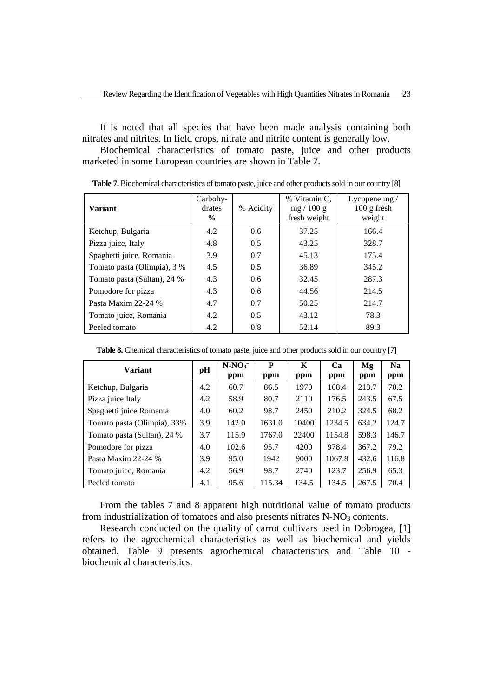It is noted that all species that have been made analysis containing both nitrates and nitrites. In field crops, nitrate and nitrite content is generally low.

Biochemical characteristics of tomato paste, juice and other products marketed in some European countries are shown in Table 7.

| <b>Variant</b>              | Carbohy-<br>drates<br>$\frac{6}{9}$ | % Acidity     | % Vitamin C.<br>mg/100 g<br>fresh weight | Lycopene $mg/$<br>$100$ g fresh<br>weight |
|-----------------------------|-------------------------------------|---------------|------------------------------------------|-------------------------------------------|
| Ketchup, Bulgaria           | 4.2                                 | 0.6           | 37.25                                    | 166.4                                     |
| Pizza juice, Italy          | 4.8                                 | 0.5           | 43.25                                    | 328.7                                     |
| Spaghetti juice, Romania    | 3.9                                 | 0.7           | 45.13                                    | 175.4                                     |
| Tomato pasta (Olimpia), 3 % | 4.5                                 | 0.5           | 36.89                                    | 345.2                                     |
| Tomato pasta (Sultan), 24 % | 4.3                                 | $0.6^{\circ}$ | 32.45                                    | 287.3                                     |
| Pomodore for pizza          | 4.3                                 | $0.6^{\circ}$ | 44.56                                    | 214.5                                     |
| Pasta Maxim 22-24 %         | 4.7                                 | 0.7           | 50.25                                    | 214.7                                     |
| Tomato juice, Romania       | 4.2                                 | 0.5           | 43.12                                    | 78.3                                      |
| Peeled tomato               | 4.2                                 | 0.8           | 52.14                                    | 89.3                                      |

Table 7. Biochemical characteristics of tomato paste, juice and other products sold in our country [8]

Table 8. Chemical characteristics of tomato paste, juice and other products sold in our country [7]

| <b>Variant</b>              | pH  | $N-NO3$<br>ppm | P<br>ppm | K<br>ppm | Ca<br>ppm | Mg<br>ppm | N <sub>a</sub><br>ppm |
|-----------------------------|-----|----------------|----------|----------|-----------|-----------|-----------------------|
| Ketchup, Bulgaria           | 4.2 | 60.7           | 86.5     | 1970     | 168.4     | 213.7     | 70.2                  |
| Pizza juice Italy           | 4.2 | 58.9           | 80.7     | 2110     | 176.5     | 243.5     | 67.5                  |
| Spaghetti juice Romania     | 4.0 | 60.2           | 98.7     | 2450     | 210.2     | 324.5     | 68.2                  |
| Tomato pasta (Olimpia), 33% | 3.9 | 142.0          | 1631.0   | 10400    | 1234.5    | 634.2     | 124.7                 |
| Tomato pasta (Sultan), 24 % | 3.7 | 115.9          | 1767.0   | 22400    | 1154.8    | 598.3     | 146.7                 |
| Pomodore for pizza          | 4.0 | 102.6          | 95.7     | 4200     | 978.4     | 367.2     | 79.2                  |
| Pasta Maxim 22-24 %         | 3.9 | 95.0           | 1942     | 9000     | 1067.8    | 432.6     | 116.8                 |
| Tomato juice, Romania       | 4.2 | 56.9           | 98.7     | 2740     | 123.7     | 256.9     | 65.3                  |
| Peeled tomato               | 4.1 | 95.6           | 115.34   | 134.5    | 134.5     | 267.5     | 70.4                  |

From the tables 7 and 8 apparent high nutritional value of tomato products from industrialization of tomatoes and also presents nitrates N-NO<sub>3</sub> contents.

Research conducted on the quality of carrot cultivars used in Dobrogea, [1] refers to the agrochemical characteristics as well as biochemical and yields obtained. Table 9 presents agrochemical characteristics and Table 10 biochemical characteristics.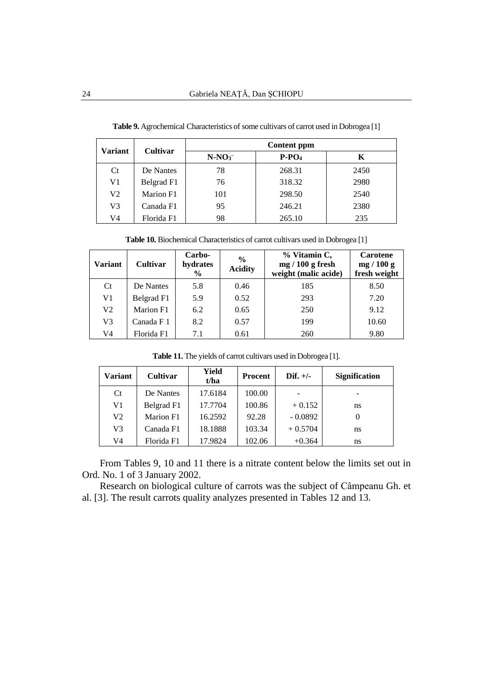| <b>Variant</b> | <b>Cultivar</b> | Content ppm |         |      |  |  |  |
|----------------|-----------------|-------------|---------|------|--|--|--|
|                |                 | $N-NO3$     | $P-PO4$ | Κ    |  |  |  |
| <b>Ct</b>      | De Nantes       | 78          | 268.31  | 2450 |  |  |  |
| V1             | Belgrad F1      | 76          | 318.32  | 2980 |  |  |  |
| V2             | Marion F1       | 101         | 298.50  | 2540 |  |  |  |
| V3             | Canada F1       | 95          | 246.21  | 2380 |  |  |  |
| V4             | Florida F1      | 98          | 265.10  | 235  |  |  |  |

**Table 9.** Agrochemical Characteristics of some cultivars of carrot used in Dobrogea [1]

**Table 10.** Biochemical Characteristics of carrot cultivars used in Dobrogea [1]

| <b>Variant</b> | <b>Cultivar</b> | Carbo-<br>hydrates<br>$\frac{6}{9}$ | $\frac{6}{6}$<br><b>Acidity</b> | % Vitamin C,<br>$mg/100 g$ fresh<br>weight (malic acide) | <b>Carotene</b><br>mg/100 g<br>fresh weight |
|----------------|-----------------|-------------------------------------|---------------------------------|----------------------------------------------------------|---------------------------------------------|
| Ct             | De Nantes       | 5.8                                 | 0.46                            | 185                                                      | 8.50                                        |
| V1             | Belgrad F1      | 5.9                                 | 0.52                            | 293                                                      | 7.20                                        |
| V <sub>2</sub> | Marion F1       | 6.2                                 | 0.65                            | 250                                                      | 9.12                                        |
| V <sub>3</sub> | Canada F 1      | 8.2                                 | 0.57                            | 199                                                      | 10.60                                       |
| V4             | Florida F1      | 7.1                                 | 0.61                            | 260                                                      | 9.80                                        |

| <b>Variant</b> | Cultivar   | Yield<br>t/ha | <b>Procent</b> | Dif. $+/-$ | <b>Signification</b> |
|----------------|------------|---------------|----------------|------------|----------------------|
| <b>Ct</b>      | De Nantes  | 17.6184       | 100.00         |            |                      |
| V1             | Belgrad F1 | 17.7704       | 100.86         | $+0.152$   | ns                   |
| V2             | Marion F1  | 16.2592       | 92.28          | $-0.0892$  |                      |
| V3             | Canada F1  | 18.1888       | 103.34         | $+0.5704$  | ns                   |

**Table 11.** The yields of carrot cultivars used in Dobrogea [1].

From Tables 9, 10 and 11 there is a nitrate content below the limits set out in Ord. No. 1 of 3 January 2002.

102.06

 $+0.364$ 

ns

17.9824

Research on biological culture of carrots was the subject of Câmpeanu Gh. et al. [3]. The result carrots quality analyzes presented in Tables 12 and 13.

V4

Florida F1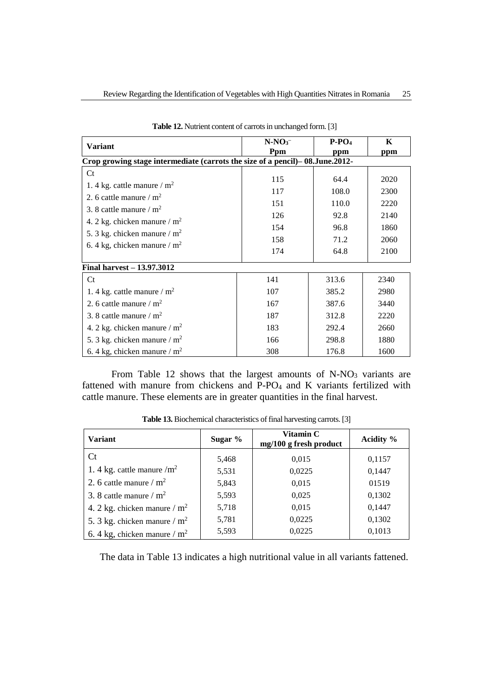| <b>Variant</b>                                                                                                                                                                                           | $N-NO3$<br>Ppm                                | $P-PO4$<br>ppm                                         | K<br>ppm                                     |  |  |  |  |  |  |
|----------------------------------------------------------------------------------------------------------------------------------------------------------------------------------------------------------|-----------------------------------------------|--------------------------------------------------------|----------------------------------------------|--|--|--|--|--|--|
| Crop growing stage intermediate (carrots the size of a pencil) – 08. June. 2012-                                                                                                                         |                                               |                                                        |                                              |  |  |  |  |  |  |
| $C_{t}$<br>1. 4 kg. cattle manure / $m2$<br>2. 6 cattle manure / $m2$<br>3. 8 cattle manure / $m2$<br>4. 2 kg. chicken manure / $m2$<br>5. 3 kg. chicken manure / $m2$<br>6. 4 kg, chicken manure / $m2$ | 115<br>117<br>151<br>126<br>154<br>158<br>174 | 64.4<br>108.0<br>110.0<br>92.8<br>96.8<br>71.2<br>64.8 | 2020<br>2300<br>2220<br>2140<br>1860<br>2060 |  |  |  |  |  |  |
| Final harvest - 13.97.3012                                                                                                                                                                               |                                               |                                                        | 2100                                         |  |  |  |  |  |  |
| $C_{t}$                                                                                                                                                                                                  | 141                                           | 313.6                                                  | 2340                                         |  |  |  |  |  |  |
| 1. 4 kg. cattle manure / $m2$                                                                                                                                                                            | 107                                           | 385.2                                                  | 2980                                         |  |  |  |  |  |  |
| 2. 6 cattle manure $/m2$                                                                                                                                                                                 | 167                                           | 387.6                                                  | 3440                                         |  |  |  |  |  |  |
| 3. 8 cattle manure / $m2$                                                                                                                                                                                | 187                                           | 312.8                                                  | 2220                                         |  |  |  |  |  |  |
| 4. 2 kg. chicken manure / $m2$                                                                                                                                                                           | 183                                           | 292.4                                                  | 2660                                         |  |  |  |  |  |  |
| 5. 3 kg. chicken manure / $m2$                                                                                                                                                                           | 166                                           | 298.8                                                  | 1880                                         |  |  |  |  |  |  |
| 6. 4 kg, chicken manure / $m2$                                                                                                                                                                           | 308                                           | 176.8                                                  | 1600                                         |  |  |  |  |  |  |

Table 12. Nutrient content of carrots in unchanged form. [3]

From Table 12 shows that the largest amounts of N-NO<sub>3</sub> variants are fattened with manure from chickens and P-PO<sup>4</sup> and K variants fertilized with cattle manure. These elements are in greater quantities in the final harvest.

| <b>Variant</b>                 | Sugar % | Vitamin C<br>mg/100 g fresh product | Acidity % |  |  |
|--------------------------------|---------|-------------------------------------|-----------|--|--|
| <b>Ct</b>                      | 5,468   | 0,015                               | 0,1157    |  |  |
| 1. 4 kg. cattle manure $/m2$   | 5,531   | 0,0225                              | 0,1447    |  |  |
| 2. 6 cattle manure $/m2$       | 5,843   | 0,015                               | 01519     |  |  |
| 3. 8 cattle manure / $m^2$     | 5,593   | 0,025                               | 0,1302    |  |  |
| 4. 2 kg. chicken manure / $m2$ | 5,718   | 0,015                               | 0,1447    |  |  |
| 5. 3 kg. chicken manure $/m2$  | 5,781   | 0,0225                              | 0,1302    |  |  |
| 6.4 kg, chicken manure / $m2$  | 5,593   | 0,0225                              | 0,1013    |  |  |

Table 13. Biochemical characteristics of final harvesting carrots. [3]

The data in Table 13 indicates a high nutritional value in all variants fattened.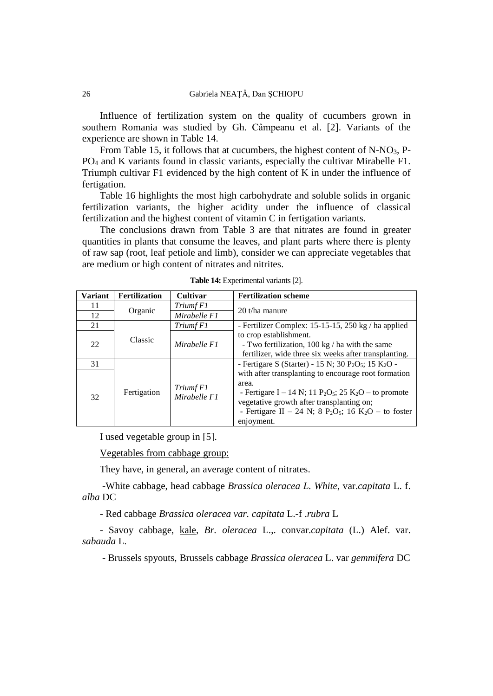Influence of fertilization system on the quality of cucumbers grown in southern Romania was studied by Gh. Câmpeanu et al. [2]. Variants of the experience are shown in Table 14.

From Table 15, it follows that at cucumbers, the highest content of N-NO3, P-PO<sup>4</sup> and K variants found in classic variants, especially the cultivar Mirabelle F1. Triumph cultivar F1 evidenced by the high content of K in under the influence of fertigation.

Table 16 highlights the most high carbohydrate and soluble solids in organic fertilization variants, the higher acidity under the influence of classical fertilization and the highest content of vitamin C in fertigation variants.

The conclusions drawn from Table 3 are that nitrates are found in greater quantities in plants that consume the leaves, and plant parts where there is plenty of raw sap (root, leaf petiole and limb), consider we can appreciate vegetables that are medium or high content of nitrates and nitrites.

| Variant | <b>Fertilization</b> | <b>Cultivar</b>           | <b>Fertilization scheme</b>                                                                                                                                                                                                                                                                                       |  |  |  |  |  |
|---------|----------------------|---------------------------|-------------------------------------------------------------------------------------------------------------------------------------------------------------------------------------------------------------------------------------------------------------------------------------------------------------------|--|--|--|--|--|
| 11      |                      | Triumf F1                 | 20 t/ha manure                                                                                                                                                                                                                                                                                                    |  |  |  |  |  |
| 12      | Organic              | Mirabelle F1              |                                                                                                                                                                                                                                                                                                                   |  |  |  |  |  |
| 21      |                      | Triumf F1                 | - Fertilizer Complex: 15-15-15, 250 kg / ha applied                                                                                                                                                                                                                                                               |  |  |  |  |  |
| 22      | Classic              | Mirabelle F1              | to crop establishment.<br>- Two fertilization, 100 kg / ha with the same<br>fertilizer, wide three six weeks after transplanting.                                                                                                                                                                                 |  |  |  |  |  |
| 31      |                      |                           | - Fertigare S (Starter) - 15 N; 30 P <sub>2</sub> O <sub>5</sub> ; 15 K <sub>2</sub> O -                                                                                                                                                                                                                          |  |  |  |  |  |
| 32      | Fertigation          | Triumf F1<br>Mirabelle F1 | with after transplanting to encourage root formation<br>area.<br>- Fertigare I – 14 N; 11 P <sub>2</sub> O <sub>5</sub> ; 25 K <sub>2</sub> O – to promote<br>vegetative growth after transplanting on;<br>- Fertigare II – 24 N; 8 P <sub>2</sub> O <sub>5</sub> ; 16 K <sub>2</sub> O – to foster<br>enjoyment. |  |  |  |  |  |

**Table 14:** Experimental variants [2].

I used vegetable group in [5].

Vegetables from cabbage group:

They have, in general, an average content of nitrates.

-White cabbage, head cabbage *Brassica oleracea L. White*, var.*capitata* L. f. *alba* DC

- Red cabbage *Brassica oleracea var. capitata* L.-f .*rubra* L

- Savoy cabbage, kale, *Br. oleracea* L.,. convar.*capitata* (L.) Alef. var. *sabauda* L.

- Brussels spyouts, Brussels cabbage *Brassica oleracea* L. var *gemmifera* DC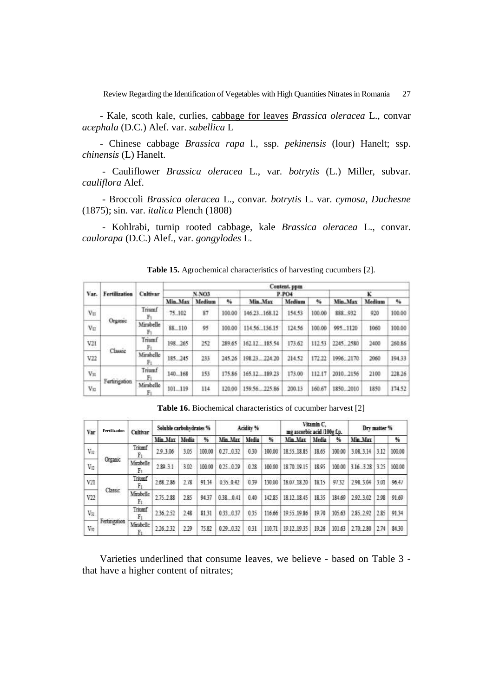- Kale, scoth kale, curlies, cabbage for leaves *Brassica oleracea* L., convar *acephala* (D.C.) Alef. var. *sabellica* L

- Chinese cabbage *Brassica rapa* l., ssp. *pekinensis* (lour) Hanelt; ssp. *chinensis* (L) Hanelt.

- Cauliflower *Brassica oleracea* L., var. *botrytis* (L.) Miller, subvar. *cauliflora* Alef.

- Broccoli *Brassica oleracea* L., convar*. botrytis* L. var. *cymosa, Duchesne*  (1875); sin. var. *italica* Plench (1808)

- Kohlrabi, turnip rooted cabbage, kale *Brassica oleracea* L., convar. *caulorapa* (D.C.) Alef., var. *gongylodes* L.

| Var.              | Fertilization | Cultivar        | Content. ppm |        |        |                |        |        |           |        |         |  |  |
|-------------------|---------------|-----------------|--------------|--------|--------|----------------|--------|--------|-----------|--------|---------|--|--|
|                   |               |                 | <b>N-NO3</b> |        |        |                | P-PO4  | ĸ      |           |        |         |  |  |
|                   |               |                 | Min. Max     | Medium | 54     | Min., Max      | Medium | %      | Min., Max | Medium | $^{16}$ |  |  |
| VII               |               | Triumf          | 75.102       | 87     | 100.00 | 146.23 168.12  | 154.53 | 100.00 | 888 932   | 920    | 100.00  |  |  |
| VE                | Organic       | Mirsbelle<br>Fз | 88.110       | 95     | 100.00 | 114.56 136.15  | 124.56 | 100.00 | 9951120   | 1060   | 100.00  |  |  |
| Contractor<br>V21 |               | Triumf          | 198.265      | 252    | 289.65 | 162 12 185.54  | 173.62 | 112.53 | 2245 2580 | 2400   | 260.86  |  |  |
| V22               | Classic       | Mirabelle<br>Fı | 185.245      | 233    | 245.26 | 198.23  224.20 | 214.52 | 172.22 | 1996 2170 | 2060   | 194.33  |  |  |
| $V_{\rm H}$       | Fertingstion  | Triumf          | 140.168      | 153    | 175.86 | 165.12 189.23  | 173.00 | 112.17 | 2010.2156 | 2100   | 228.26  |  |  |
| $V_{\Sigma}$      |               | Mirabelle<br>Fı | 101  119     | 114    | 120.00 | 159.56225.86   | 200.13 | 160.67 | 1850.2010 | 1850   | 174.52  |  |  |

**Table 15.** Agrochemical characteristics of harvesting cucumbers [2].

| <b>Table 16.</b> Biochemical characteristics of cucumber harvest [2] |
|----------------------------------------------------------------------|
|                                                                      |

| Var          | <b>Fertilization</b> | Cultivar        | Soluble carbohydrates % |       | Acidity % |           |       | Vitamin C.<br>mg ascorbic acid /100g f.p. |             |       | Dry matter % |           |      |        |
|--------------|----------------------|-----------------|-------------------------|-------|-----------|-----------|-------|-------------------------------------------|-------------|-------|--------------|-----------|------|--------|
|              |                      |                 | Min. Max                | Media | %         | Min. Max  | Media | %                                         | Min. Max    | Media | %            | Min. Max  |      | %      |
| Vn           |                      | Triumf<br>Fı    | 29 3 06                 | 3.05  | 100.00    | 027 032   | 0.30  | 100.00                                    | 1855 1885   | 18.65 | 100.00       | 3.08.3.14 | 3.12 | 100.00 |
| Vn           | Organic              | Mirabelle<br>Fı | 2.89.3.1                | 3.02  | 100.00    | 0.25 0.29 | 0.28  | 100.00                                    | 18.70.19.15 | 18.95 | 100.00       | 3.16.3.28 | 325  | 100.00 |
| V21          | Classic              | Triumf<br>Fı    | 268 286                 | 2.78  | 91.14     | 0.35.0.42 | 0.39  | 130.00                                    | 18.07.18.20 | 18.15 | 9732         | 2.98.3.04 | 3.01 | 96.47  |
| V22          |                      | Mirabelle<br>Fı | 2.75.2.88               | 2.85  | 94.37     | 038 0.41  | 0.40  | 142.85                                    | 18 12 18 45 | 18.35 | 184.69       | 2.92.3.02 | 2.98 | 91.69  |
| VEL          | Fertingation         | Triumf<br>F1    | 236, 252                | 2.48  | 8131      | 033.037   | 0.35  | 116.66                                    | 1955 1986   | 19.70 | 105.63       | 285, 292  | 285  | 91.34  |
| $V_{\Sigma}$ |                      | Mirabelle<br>Fı | 226, 232                | 2.29  | 75.82     | 0.29 0.32 | 0.31  | 110.71                                    | 19.12.19.35 | 19.26 | 101.63       | 270, 2.80 | 2.74 | 84.30  |

Varieties underlined that consume leaves, we believe - based on Table 3 that have a higher content of nitrates;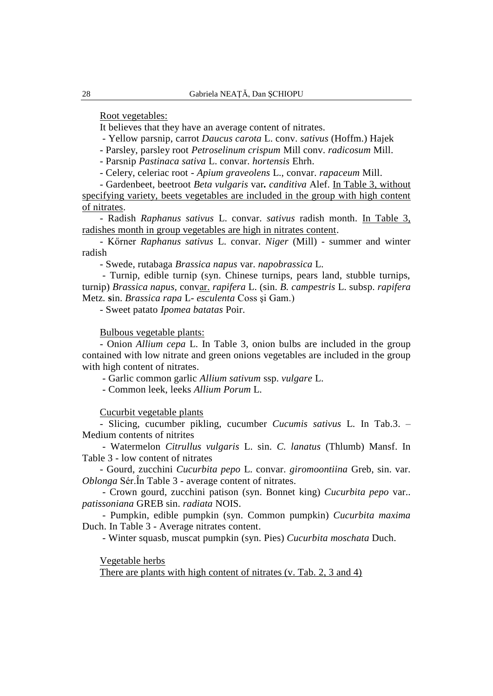Root vegetables:

It believes that they have an average content of nitrates.

- Yellow parsnip, carrot *Daucus carota* L. conv. *sativus* (Hoffm.) Hajek

- Parsley, parsley root *Petroselinum crispum* Mill conv. *radicosum* Mill.

- Parsnip *Pastinaca sativa* L. convar. *hortensis* Ehrh.

- Celery, celeriac root - *Apium graveolens* L., convar. *rapaceum* Mill.

- Gardenbeet, beetroot *Beta vulgaris* var*. canditiva* Alef. In Table 3, without specifying variety, beets vegetables are included in the group with high content of nitrates.

- Radish *Raphanus sativus* L. convar. *sativus* radish month. In Table 3, radishes month in group vegetables are high in nitrates content.

- Kőrner *Raphanus sativus* L. convar. *Niger* (Mill) - summer and winter radish

- Swede, rutabaga *Brassica napus* var. *napobrassica* L.

- Turnip, edible turnip (syn. Chinese turnips, pears land, stubble turnips, turnip) *Brassica napus,* convar. *rapifera* L. (sin. *B. campestris* L. subsp. *rapifera*  Metz*.* **s**in. *Brassica rapa* L- *esculenta* Coss şi Gam.)

- Sweet patato *Ipomea batatas* Poir.

Bulbous vegetable plants:

- Onion *Allium cepa* L. In Table 3, onion bulbs are included in the group contained with low nitrate and green onions vegetables are included in the group with high content of nitrates.

- Garlic common garlic *Allium sativum* ssp. *vulgare* L.

- Common leek, leeks *Allium Porum* L.

Cucurbit vegetable plants

- Slicing, cucumber pikling, cucumber *Cucumis sativus* L. In Tab.3. – Medium contents of nitrites

- Watermelon *Citrullus vulgaris* L. sin. *C. lanatus* (Thlumb) Mansf. In Table 3 - low content of nitrates

- Gourd, zucchini *Cucurbita pepo* L. convar. *giromoontiina* Greb, sin. var. *Oblonga* Sér.În Table 3 - average content of nitrates.

- Crown gourd, zucchini patison (syn. Bonnet king) *Cucurbita pepo* var.. *patissoniana* GREB sin. *radiata* NOIS.

- Pumpkin, edible pumpkin (syn. Common pumpkin) *Cucurbita maxima*  Duch. In Table 3 - Average nitrates content.

- Winter squasb, muscat pumpkin (syn. Pies) *Cucurbita moschata* Duch.

Vegetable herbs

There are plants with high content of nitrates (v. Tab. 2, 3 and 4)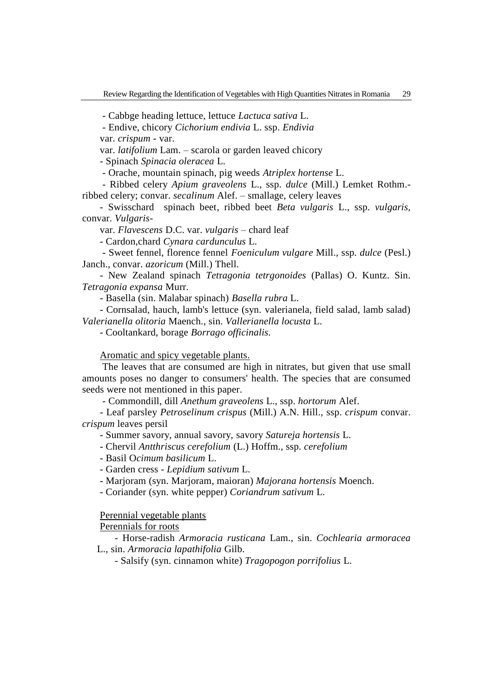- Cabbge heading lettuce, lettuce *Lactuca sativa* L.

- Endive, chicory *Cichorium endivia* L. ssp. *Endivia*

var. *crispum -* var.

var. *latifolium* Lam. – scarola or garden leaved chicory

- Spinach *Spinacia oleracea* L.

- Orache, mountain spinach, pig weeds *Atriplex hortense* L.

- Ribbed celery *Apium graveolens* L., ssp. *dulce* (Mill.) Lemket Rothm. ribbed celery; convar. *secalinum* Alef. – smallage, celery leaves

- Swisschard spinach beet, ribbed beet *Beta vulgaris* L., ssp. *vulgaris,*  convar. *Vulgaris-*

var. *Flavescens* D.C. var. *vulgaris* – chard leaf

- Cardon,chard *Cynara cardunculus* L.

- Sweet fennel, florence fennel *Foeniculum vulgare* Mill., ssp. *dulce* (Pesl.) Janch., convar. *azoricum* (Mill.) Thell.

- New Zealand spinach *Tet*r*agonia tetrgonoides* (Pallas) O. Kuntz. Sin. *Tetragonia expansa* Murr.

- Basella (sin. Malabar spinach) *Basella rubra* L.

- Cornsalad, hauch, lamb's lettuce (syn. valerianela, field salad, lamb salad) *Valerianella olitoria* Maench., sin. *Vallerianella locusta* L.

- Cooltankard, borage *Borrago officinalis.*

Aromatic and spicy vegetable plants.

The leaves that are consumed are high in nitrates, but given that use small amounts poses no danger to consumers' health. The species that are consumed seeds were not mentioned in this paper.

- Commondill, dill *Anethum graveolens* L., ssp. *hortorum* Alef.

- Leaf parsley *Petroselinum crispus* (Mill.) A.N. Hill., ssp. *crispum* convar. *crispum* leaves persil

- Summer savory, annual savory, savory *Satureja hortensis* L.

- Chervil *Antthriscus cerefolium* (L.) Hoffm., ssp. *cerefolium*

- Basil O*cimum basilicum* L.

- Garden cress - *Lepidium sativum* L.

- Marjoram (syn. Marjoram, maioran) *Majorana hortensis* Moench.

- Coriander (syn. white pepper) *Coriandrum sativum* L.

Perennial vegetable plants

Perennials for roots

- Horse-radish *Armoracia rusticana* Lam., sin. *Cochlearia armoracea*  L., sin. *Armoracia lapathifolia* Gilb.

- Salsify (syn. cinnamon white) *Tragopogon porrifolius* L.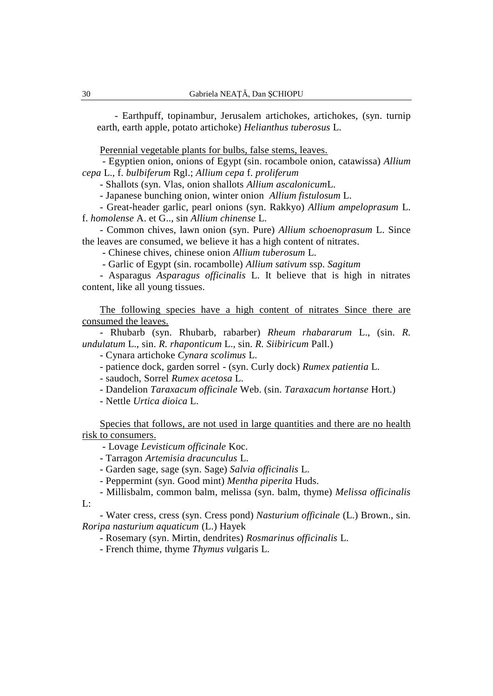- Earthpuff, topinambur, Jerusalem artichokes, artichokes, (syn. turnip earth, earth apple, potato artichoke) *Helianthus tuberosus* L.

Perennial vegetable plants for bulbs, false stems, leaves.

- Egyptien onion, onions of Egypt (sin. rocambole onion, catawissa) *Allium cepa* L., f. *bulbiferum* Rgl.; *Allium cepa* f. *proliferum*

- Shallots (syn. Vlas, onion shallots *Allium ascalonicum*L.

- Japanese bunching onion, winter onion *Allium fistulosum* L.

- Great-header garlic, pearl onions (syn. Rakkyo) *Allium ampeloprasum* L. f. *homolense* A. et G.., sin *Allium chinense* L.

- Common chives, lawn onion (syn. Pure) *Allium schoenoprasum* L. Since the leaves are consumed, we believe it has a high content of nitrates.

- Chinese chives, chinese onion *Allium tuberosum* L.

- Garlic of Egypt (sin. rocambolle) *Allium sativum* ssp. *Sagitum*

- Asparagus *Asparagus officinalis* L. It believe that is high in nitrates content, like all young tissues.

The following species have a high content of nitrates Since there are consumed the leaves.

- Rhubarb (syn. Rhubarb, rabarber) *Rheum rhabararum* L., (sin. *R. undulatum* L., sin. *R. rhaponticum* L., sin. *R. Siibiricum* Pall.)

- Cynara artichoke *Cynara scolimus* L.

- patience dock, garden sorrel - (syn. Curly dock) *Rumex patientia* L.

- saudoch, Sorrel *Rumex acetosa* L.

- Dandelion *Taraxacum officinale* Web. (sin. *Taraxacum hortanse* Hort.)

- Nettle *Urtica dioica* L.

Species that follows, are not used in large quantities and there are no health risk to consumers.

- Lovage *Levisticum officinale* Koc.

- Tarragon *Artemisia dracunculus* L.

- Garden sage, sage (syn. Sage) *Salvia officinalis* L.

- Peppermint (syn. Good mint) *Mentha piperita* Huds.

- Millisbalm, common balm, melissa (syn. balm, thyme) *Melissa officinalis* 

L:

- Water cress, cress (syn. Cress pond) *Nasturium officinale* (L.) Brown., sin. *Roripa nasturium aquaticum* (L.) Hayek

- Rosemary (syn. Mirtin, dendrites) *Rosmarinus officinalis* L.

- French thime, thyme *Thymus vu*lgaris L.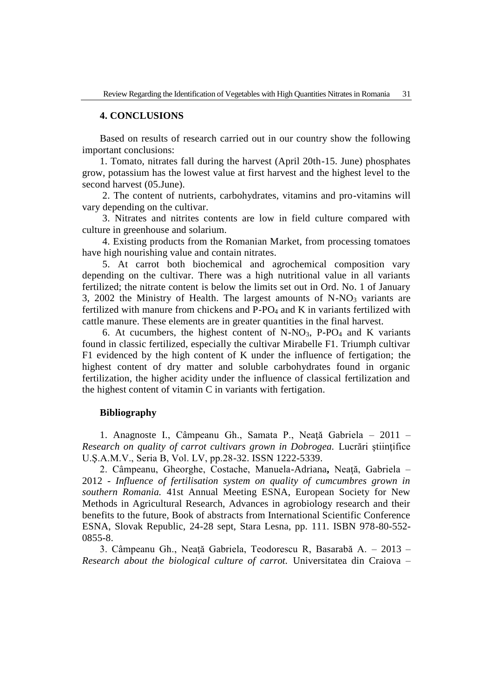### **4. CONCLUSIONS**

Based on results of research carried out in our country show the following important conclusions:

1. Tomato, nitrates fall during the harvest (April 20th-15. June) phosphates grow, potassium has the lowest value at first harvest and the highest level to the second harvest (05.June).

2. The content of nutrients, carbohydrates, vitamins and pro-vitamins will vary depending on the cultivar.

3. Nitrates and nitrites contents are low in field culture compared with culture in greenhouse and solarium.

4. Existing products from the Romanian Market, from processing tomatoes have high nourishing value and contain nitrates.

5. At carrot both biochemical and agrochemical composition vary depending on the cultivar. There was a high nutritional value in all variants fertilized; the nitrate content is below the limits set out in Ord. No. 1 of January 3, 2002 the Ministry of Health. The largest amounts of  $N-NO<sub>3</sub>$  variants are fertilized with manure from chickens and P-PO<sup>4</sup> and K in variants fertilized with cattle manure. These elements are in greater quantities in the final harvest.

6. At cucumbers, the highest content of  $N-NO<sub>3</sub>$ , P-PO<sub>4</sub> and K variants found in classic fertilized, especially the cultivar Mirabelle F1. Triumph cultivar F1 evidenced by the high content of K under the influence of fertigation; the highest content of dry matter and soluble carbohydrates found in organic fertilization, the higher acidity under the influence of classical fertilization and the highest content of vitamin C in variants with fertigation.

#### **Bibliography**

1. Anagnoste I., Câmpeanu Gh., Samata P., Neaţă Gabriela – 2011 – *Research on quality of carrot cultivars grown in Dobrogea.* Lucrări ştiinţifice U.Ş.A.M.V., Seria B, Vol. LV, pp.28-32. ISSN 1222-5339.

2. Câmpeanu, Gheorghe, Costache, Manuela-Adriana**,** Neaţă, Gabriela – 2012 - *Influence of fertilisation system on quality of cumcumbres grown in southern Romania.* 41st Annual Meeting ESNA, European Society for New Methods in Agricultural Research, Advances in agrobiology research and their benefits to the future, Book of abstracts from International Scientific Conference ESNA, Slovak Republic, 24-28 sept, Stara Lesna, pp. 111. ISBN 978-80-552- 0855-8.

3. Câmpeanu Gh., Neaţă Gabriela, Teodorescu R, Basarabă A. – 2013 – *Research about the biological culture of carrot.* Universitatea din Craiova –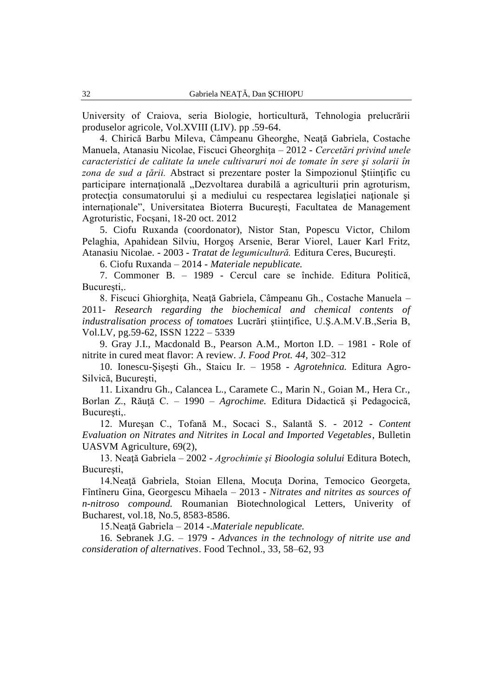University of Craiova, seria Biologie, horticultură, Tehnologia prelucrării produselor agricole, Vol.XVIII (LIV). pp .59-64.

4. Chirică Barbu Mileva, Câmpeanu Gheorghe, Neaţă Gabriela, Costache Manuela, Atanasiu Nicolae, Fiscuci Gheorghita – 2012 - *Cercetări privind unele caracteristici de calitate la unele cultivaruri noi de tomate în sere şi solarii în zona de sud a ţării.* Abstract si prezentare poster la Simpozionul Ştiinţific cu participare internațională "Dezvoltarea durabilă a agriculturii prin agroturism, protecţia consumatorului şi a mediului cu respectarea legislaţiei naţionale şi internaţionale", Universitatea Bioterra Bucureşti, Facultatea de Management Agroturistic, Focşani, 18-20 oct. 2012

5. Ciofu Ruxanda (coordonator), Nistor Stan, Popescu Victor, Chilom Pelaghia, Apahidean Silviu, Horgoş Arsenie, Berar Viorel, Lauer Karl Fritz, Atanasiu Nicolae. - 2003 - *Tratat de legumicultură.* Editura Ceres, Bucureşti.

6. Ciofu Ruxanda – 2014 - *Materiale nepublicate.* 

7. Commoner B. – 1989 - Cercul care se închide. Editura Politică, București..

8. Fiscuci Ghiorghiţa, Neaţă Gabriela, Câmpeanu Gh., Costache Manuela – 2011- *Research regarding the biochemical and chemical contents of industralisation process of tomatoes* Lucrări ştiinţifice, U.Ş.A.M.V.B.,Seria B, Vol.LV, pg.59-62, ISSN 1222 – 5339

9. Gray J.I., Macdonald B., Pearson A.M., Morton I.D. – 1981 *-* Role of nitrite in cured meat flavor: A review. *J. Food Prot. 44,* 302–312

10. Ionescu-Şişeşti Gh., Staicu Ir. – 1958 - *Agrotehnica.* Editura Agro-Silvică, Bucureşti,

11. Lixandru Gh., Calancea L., Caramete C., Marin N., Goian M., Hera Cr., Borlan Z., Răuţă C. – 1990 – *Agrochime.* Editura Didactică şi Pedagocică, București,.

12. Mureşan C., Tofană M., Socaci S., Salantă S. - 2012 - *Content Evaluation on Nitrates and Nitrites in Local and Imported Vegetables*, Bulletin UASVM Agriculture, 69(2),

13. Neaţă Gabriela – 2002 - *Agrochimie şi Bioologia solului* Editura Botech, Bucureşti,

14.Neaţă Gabriela, Stoian Ellena, Mocuţa Dorina, Temocico Georgeta, Fîntîneru Gina, Georgescu Mihaela – 2013 - *Nitrates and nitrites as sources of n-nitroso compound.* Roumanian Biotechnological Letters, Univerity of Bucharest, vol.18, No.5, 8583-8586.

15.Neaţă Gabriela – 2014 -.*Materiale nepublicate.* 

16. Sebranek J.G. – 1979 *- Advances in the technology of nitrite use and consideration of alternatives*. Food Technol., 33, 58–62, 93